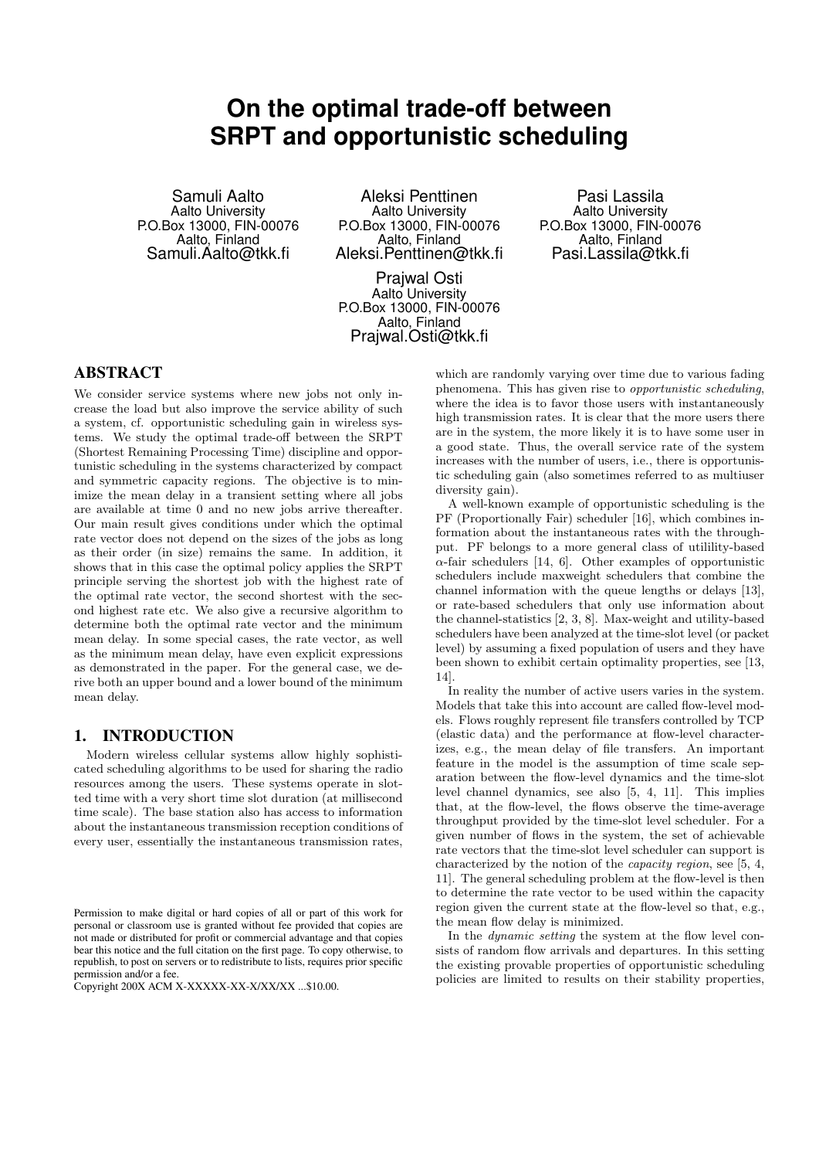# **On the optimal trade-off between SRPT and opportunistic scheduling**

Samuli Aalto Aalto University P.O.Box 13000, FIN-00076 Aalto, Finland Samuli.Aalto@tkk.fi

Aleksi Penttinen Aalto University P.O.Box 13000, FIN-00076 Aalto, Finland Aleksi.Penttinen@tkk.fi

Prajwal Osti Aalto University P.O.Box 13000, FIN-00076 Aalto, Finland Prajwal.Osti@tkk.fi

Pasi Lassila Aalto University P.O.Box 13000, FIN-00076 Aalto, Finland Pasi.Lassila@tkk.fi

# ABSTRACT

We consider service systems where new jobs not only increase the load but also improve the service ability of such a system, cf. opportunistic scheduling gain in wireless systems. We study the optimal trade-off between the SRPT (Shortest Remaining Processing Time) discipline and opportunistic scheduling in the systems characterized by compact and symmetric capacity regions. The objective is to minimize the mean delay in a transient setting where all jobs are available at time 0 and no new jobs arrive thereafter. Our main result gives conditions under which the optimal rate vector does not depend on the sizes of the jobs as long as their order (in size) remains the same. In addition, it shows that in this case the optimal policy applies the SRPT principle serving the shortest job with the highest rate of the optimal rate vector, the second shortest with the second highest rate etc. We also give a recursive algorithm to determine both the optimal rate vector and the minimum mean delay. In some special cases, the rate vector, as well as the minimum mean delay, have even explicit expressions as demonstrated in the paper. For the general case, we derive both an upper bound and a lower bound of the minimum mean delay.

# 1. INTRODUCTION

Modern wireless cellular systems allow highly sophisticated scheduling algorithms to be used for sharing the radio resources among the users. These systems operate in slotted time with a very short time slot duration (at millisecond time scale). The base station also has access to information about the instantaneous transmission reception conditions of every user, essentially the instantaneous transmission rates,

which are randomly varying over time due to various fading phenomena. This has given rise to *opportunistic scheduling*, where the idea is to favor those users with instantaneously high transmission rates. It is clear that the more users there are in the system, the more likely it is to have some user in a good state. Thus, the overall service rate of the system increases with the number of users, i.e., there is opportunistic scheduling gain (also sometimes referred to as multiuser diversity gain).

A well-known example of opportunistic scheduling is the PF (Proportionally Fair) scheduler [16], which combines information about the instantaneous rates with the throughput. PF belongs to a more general class of utilility-based *α*-fair schedulers [14, 6]. Other examples of opportunistic schedulers include maxweight schedulers that combine the channel information with the queue lengths or delays [13], or rate-based schedulers that only use information about the channel-statistics [2, 3, 8]. Max-weight and utility-based schedulers have been analyzed at the time-slot level (or packet level) by assuming a fixed population of users and they have been shown to exhibit certain optimality properties, see [13, 14].

In reality the number of active users varies in the system. Models that take this into account are called flow-level models. Flows roughly represent file transfers controlled by TCP (elastic data) and the performance at flow-level characterizes, e.g., the mean delay of file transfers. An important feature in the model is the assumption of time scale separation between the flow-level dynamics and the time-slot level channel dynamics, see also [5, 4, 11]. This implies that, at the flow-level, the flows observe the time-average throughput provided by the time-slot level scheduler. For a given number of flows in the system, the set of achievable rate vectors that the time-slot level scheduler can support is characterized by the notion of the *capacity region*, see [5, 4, 11]. The general scheduling problem at the flow-level is then to determine the rate vector to be used within the capacity region given the current state at the flow-level so that, e.g., the mean flow delay is minimized.

In the *dynamic setting* the system at the flow level consists of random flow arrivals and departures. In this setting the existing provable properties of opportunistic scheduling policies are limited to results on their stability properties,

Permission to make digital or hard copies of all or part of this work for personal or classroom use is granted without fee provided that copies are not made or distributed for profit or commercial advantage and that copies bear this notice and the full citation on the first page. To copy otherwise, to republish, to post on servers or to redistribute to lists, requires prior specific permission and/or a fee.

Copyright 200X ACM X-XXXXX-XX-X/XX/XX ...\$10.00.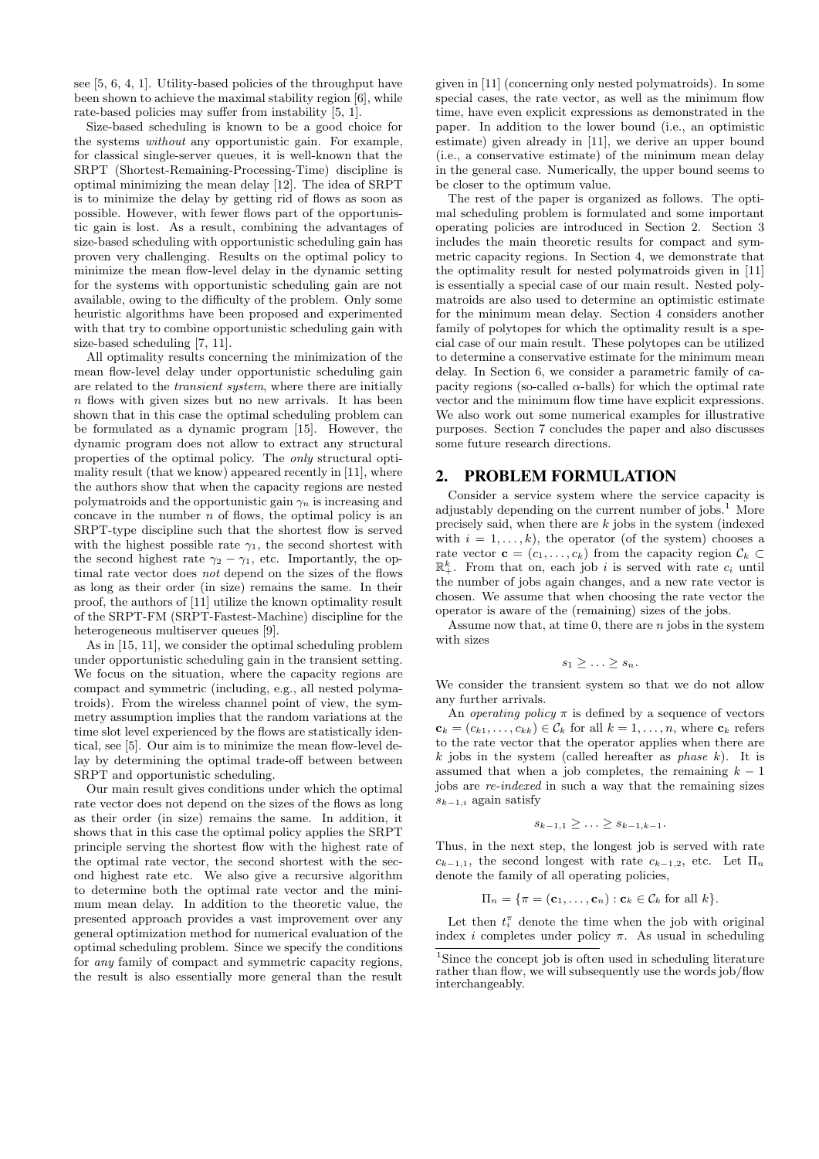see [5, 6, 4, 1]. Utility-based policies of the throughput have been shown to achieve the maximal stability region [6], while rate-based policies may suffer from instability [5, 1].

Size-based scheduling is known to be a good choice for the systems *without* any opportunistic gain. For example, for classical single-server queues, it is well-known that the SRPT (Shortest-Remaining-Processing-Time) discipline is optimal minimizing the mean delay [12]. The idea of SRPT is to minimize the delay by getting rid of flows as soon as possible. However, with fewer flows part of the opportunistic gain is lost. As a result, combining the advantages of size-based scheduling with opportunistic scheduling gain has proven very challenging. Results on the optimal policy to minimize the mean flow-level delay in the dynamic setting for the systems with opportunistic scheduling gain are not available, owing to the difficulty of the problem. Only some heuristic algorithms have been proposed and experimented with that try to combine opportunistic scheduling gain with size-based scheduling [7, 11].

All optimality results concerning the minimization of the mean flow-level delay under opportunistic scheduling gain are related to the *transient system*, where there are initially *n* flows with given sizes but no new arrivals. It has been shown that in this case the optimal scheduling problem can be formulated as a dynamic program [15]. However, the dynamic program does not allow to extract any structural properties of the optimal policy. The *only* structural optimality result (that we know) appeared recently in [11], where the authors show that when the capacity regions are nested polymatroids and the opportunistic gain  $\gamma_n$  is increasing and concave in the number *n* of flows, the optimal policy is an SRPT-type discipline such that the shortest flow is served with the highest possible rate  $\gamma_1$ , the second shortest with the second highest rate  $\gamma_2 - \gamma_1$ , etc. Importantly, the optimal rate vector does *not* depend on the sizes of the flows as long as their order (in size) remains the same. In their proof, the authors of [11] utilize the known optimality result of the SRPT-FM (SRPT-Fastest-Machine) discipline for the heterogeneous multiserver queues [9].

As in [15, 11], we consider the optimal scheduling problem under opportunistic scheduling gain in the transient setting. We focus on the situation, where the capacity regions are compact and symmetric (including, e.g., all nested polymatroids). From the wireless channel point of view, the symmetry assumption implies that the random variations at the time slot level experienced by the flows are statistically identical, see [5]. Our aim is to minimize the mean flow-level delay by determining the optimal trade-off between between SRPT and opportunistic scheduling.

Our main result gives conditions under which the optimal rate vector does not depend on the sizes of the flows as long as their order (in size) remains the same. In addition, it shows that in this case the optimal policy applies the SRPT principle serving the shortest flow with the highest rate of the optimal rate vector, the second shortest with the second highest rate etc. We also give a recursive algorithm to determine both the optimal rate vector and the minimum mean delay. In addition to the theoretic value, the presented approach provides a vast improvement over any general optimization method for numerical evaluation of the optimal scheduling problem. Since we specify the conditions for *any* family of compact and symmetric capacity regions, the result is also essentially more general than the result

given in [11] (concerning only nested polymatroids). In some special cases, the rate vector, as well as the minimum flow time, have even explicit expressions as demonstrated in the paper. In addition to the lower bound (i.e., an optimistic estimate) given already in [11], we derive an upper bound (i.e., a conservative estimate) of the minimum mean delay in the general case. Numerically, the upper bound seems to be closer to the optimum value.

The rest of the paper is organized as follows. The optimal scheduling problem is formulated and some important operating policies are introduced in Section 2. Section 3 includes the main theoretic results for compact and symmetric capacity regions. In Section 4, we demonstrate that the optimality result for nested polymatroids given in [11] is essentially a special case of our main result. Nested polymatroids are also used to determine an optimistic estimate for the minimum mean delay. Section 4 considers another family of polytopes for which the optimality result is a special case of our main result. These polytopes can be utilized to determine a conservative estimate for the minimum mean delay. In Section 6, we consider a parametric family of capacity regions (so-called  $\alpha$ -balls) for which the optimal rate vector and the minimum flow time have explicit expressions. We also work out some numerical examples for illustrative purposes. Section 7 concludes the paper and also discusses some future research directions.

# 2. PROBLEM FORMULATION

Consider a service system where the service capacity is adjustably depending on the current number of jobs.<sup>1</sup> More precisely said, when there are *k* jobs in the system (indexed with  $i = 1, \ldots, k$ , the operator (of the system) chooses a rate vector  $\mathbf{c} = (c_1, \ldots, c_k)$  from the capacity region  $\mathcal{C}_k \subset$  $\mathbb{R}^k_+$ . From that on, each job *i* is served with rate  $c_i$  until the number of jobs again changes, and a new rate vector is chosen. We assume that when choosing the rate vector the operator is aware of the (remaining) sizes of the jobs.

Assume now that, at time 0, there are *n* jobs in the system with sizes

$$
s_1 \geq \ldots \geq s_n.
$$

We consider the transient system so that we do not allow any further arrivals.

An *operating policy*  $\pi$  is defined by a sequence of vectors  $\mathbf{c}_k = (c_{k1}, \dots, c_{kk}) \in \mathcal{C}_k$  for all  $k = 1, \dots, n$ , where  $\mathbf{c}_k$  refers to the rate vector that the operator applies when there are *k* jobs in the system (called hereafter as *phase k*). It is assumed that when a job completes, the remaining  $k-1$ jobs are *re-indexed* in such a way that the remaining sizes *s<sup>k</sup>−*1*,i* again satisfy

$$
s_{k-1,1}\geq\ldots\geq s_{k-1,k-1}.
$$

Thus, in the next step, the longest job is served with rate  $c_{k-1,1}$ , the second longest with rate  $c_{k-1,2}$ , etc. Let  $\Pi_n$ denote the family of all operating policies,

$$
\Pi_n = \{ \pi = (\mathbf{c}_1, \dots, \mathbf{c}_n) : \mathbf{c}_k \in \mathcal{C}_k \text{ for all } k \}.
$$

Let then  $t_i^{\pi}$  denote the time when the job with original index *i* completes under policy  $\pi$ . As usual in scheduling

<sup>&</sup>lt;sup>1</sup>Since the concept job is often used in scheduling literature rather than flow, we will subsequently use the words job/flow interchangeably.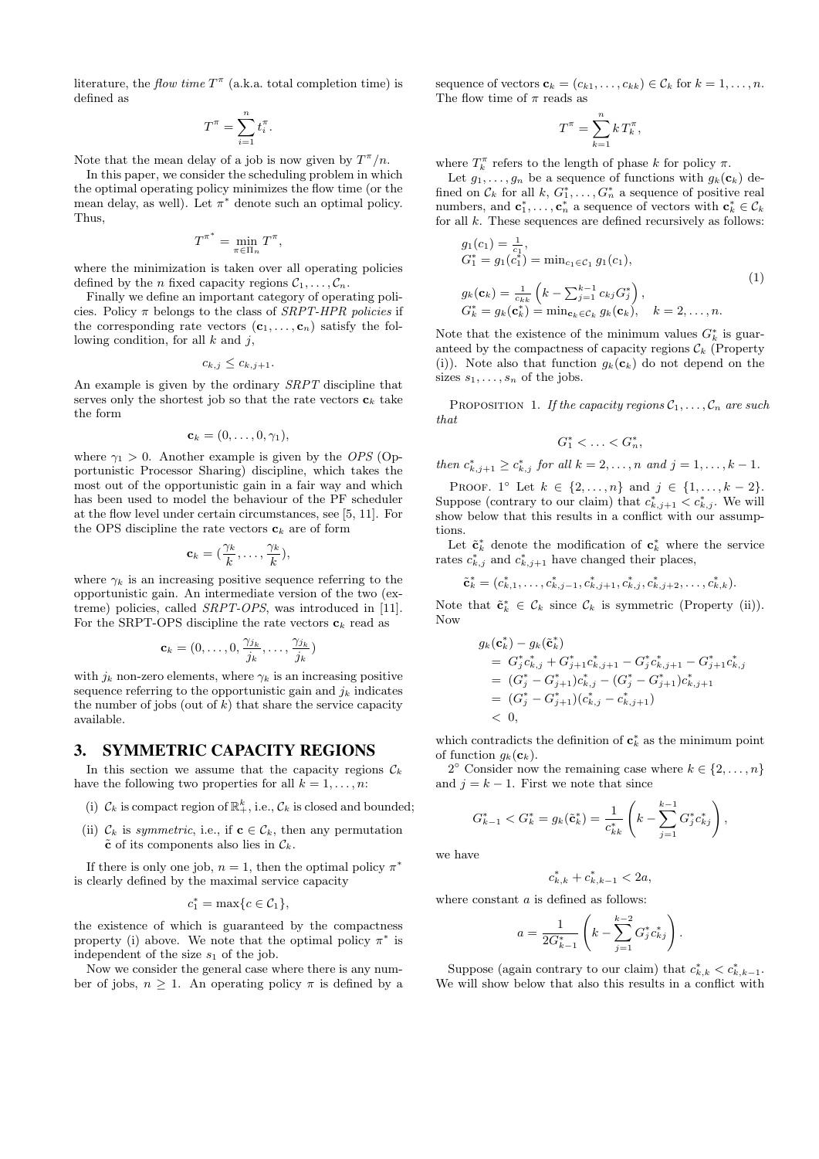literature, the *flow time*  $T^{\pi}$  (a.k.a. total completion time) is defined as

$$
T^{\pi} = \sum_{i=1}^{n} t_i^{\pi}.
$$

Note that the mean delay of a job is now given by  $T^{\pi}/n$ .

In this paper, we consider the scheduling problem in which the optimal operating policy minimizes the flow time (or the mean delay, as well). Let  $\pi^*$  denote such an optimal policy. Thus,

$$
T^{\pi^*} = \min_{\pi \in \Pi_n} T^{\pi},
$$

where the minimization is taken over all operating policies defined by the *n* fixed capacity regions  $C_1, \ldots, C_n$ .

Finally we define an important category of operating policies. Policy *π* belongs to the class of *SRPT-HPR policies* if the corresponding rate vectors  $(c_1, \ldots, c_n)$  satisfy the following condition, for all *k* and *j*,

$$
c_{k,j} \leq c_{k,j+1}.
$$

An example is given by the ordinary *SRPT* discipline that serves only the shortest job so that the rate vectors  $c_k$  take the form

$$
\mathbf{c}_k=(0,\ldots,0,\gamma_1),
$$

where  $\gamma_1 > 0$ . Another example is given by the *OPS* (Opportunistic Processor Sharing) discipline, which takes the most out of the opportunistic gain in a fair way and which has been used to model the behaviour of the PF scheduler at the flow level under certain circumstances, see [5, 11]. For the OPS discipline the rate vectors  $c_k$  are of form

$$
\mathbf{c}_k = (\frac{\gamma_k}{k}, \dots, \frac{\gamma_k}{k}),
$$

where  $\gamma_k$  is an increasing positive sequence referring to the opportunistic gain. An intermediate version of the two (extreme) policies, called *SRPT-OPS*, was introduced in [11]. For the SRPT-OPS discipline the rate vectors  $c_k$  read as

$$
\mathbf{c}_k = (0, \ldots, 0, \frac{\gamma_{j_k}}{j_k}, \ldots, \frac{\gamma_{j_k}}{j_k})
$$

with  $j_k$  non-zero elements, where  $\gamma_k$  is an increasing positive sequence referring to the opportunistic gain and  $j_k$  indicates the number of jobs (out of *k*) that share the service capacity available.

## 3. SYMMETRIC CAPACITY REGIONS

In this section we assume that the capacity regions  $\mathcal{C}_k$ have the following two properties for all  $k = 1, \ldots, n$ :

- (i)  $\mathcal{C}_k$  is compact region of  $\mathbb{R}^k_+$ , i.e.,  $\mathcal{C}_k$  is closed and bounded;
- (ii)  $\mathcal{C}_k$  is *symmetric*, i.e., if  $\mathbf{c} \in \mathcal{C}_k$ , then any permutation  $\tilde{\mathbf{c}}$  of its components also lies in  $\mathcal{C}_k$ .

If there is only one job,  $n = 1$ , then the optimal policy  $\pi^*$ is clearly defined by the maximal service capacity

$$
c_1^* = \max\{c \in C_1\},\
$$

the existence of which is guaranteed by the compactness property (i) above. We note that the optimal policy  $\pi^*$  is independent of the size *s*<sup>1</sup> of the job.

Now we consider the general case where there is any number of jobs,  $n \geq 1$ . An operating policy  $\pi$  is defined by a sequence of vectors  $\mathbf{c}_k = (c_{k1}, \ldots, c_{kk}) \in C_k$  for  $k = 1, \ldots, n$ . The flow time of *π* reads as

$$
T^{\pi} = \sum_{k=1}^{n} k T_k^{\pi},
$$

where  $T_k^{\pi}$  refers to the length of phase *k* for policy  $\pi$ .

Let  $g_1, \ldots, g_n$  be a sequence of functions with  $g_k(\mathbf{c}_k)$  defined on  $\mathcal{C}_k$  for all  $k, G_1^*, \ldots, G_n^*$  a sequence of positive real numbers, and  $\mathbf{c}_1^*, \ldots, \mathbf{c}_n^*$  a sequence of vectors with  $\mathbf{c}_k^* \in \mathcal{C}_k$ for all *k*. These sequences are defined recursively as follows:

$$
g_1(c_1) = \frac{1}{c_1},
$$
  
\n
$$
G_1^* = g_1(c_1^*) = \min_{c_1 \in C_1} g_1(c_1),
$$
  
\n
$$
g_k(\mathbf{c}_k) = \frac{1}{c_{kk}} \left( k - \sum_{j=1}^{k-1} c_{kj} G_j^* \right),
$$
  
\n
$$
G_k^* = g_k(\mathbf{c}_k^*) = \min_{\mathbf{c}_k \in C_k} g_k(\mathbf{c}_k), \quad k = 2, ..., n.
$$
\n(1)

Note that the existence of the minimum values  $G_k^*$  is guaranteed by the compactness of capacity regions  $\mathcal{C}_k$  (Property (i)). Note also that function  $g_k(c_k)$  do not depend on the sizes  $s_1, \ldots, s_n$  of the jobs.

PROPOSITION 1. If the capacity regions  $C_1, \ldots, C_n$  are such *that*

$$
G_1^* < \ldots < G_n^*,
$$

*then*  $c^*_{k,j+1} \geq c^*_{k,j}$  *for all*  $k = 2, \ldots, n$  *and*  $j = 1, \ldots, k - 1$ *.* 

PROOF. 1<sup>°</sup> Let  $k \in \{2, ..., n\}$  and  $j \in \{1, ..., k - 2\}$ . Suppose (contrary to our claim) that  $c^*_{k,j+1} < c^*_{k,j}$ . We will show below that this results in a conflict with our assumptions.

Let  $\tilde{\mathbf{c}}_k^*$  denote the modification of  $\mathbf{c}_k^*$  where the service rates  $c_{k,j}^*$  and  $c_{k,j+1}^*$  have changed their places,

$$
\tilde{\mathbf{c}}_k^* = (c_{k,1}^*, \ldots, c_{k,j-1}^*, c_{k,j+1}^*, c_{k,j}^*, c_{k,j+2}^*, \ldots, c_{k,k}^*).
$$

Note that  $\tilde{\mathbf{c}}_k^* \in \mathcal{C}_k$  since  $\mathcal{C}_k$  is symmetric (Property (ii)). Now

$$
g_k(\mathbf{c}_k^*) - g_k(\tilde{\mathbf{c}}_k^*)
$$
  
=  $G_j^* c_{k,j}^* + G_{j+1}^* c_{k,j+1}^* - G_j^* c_{k,j+1}^* - G_{j+1}^* c_{k,j}^*$   
=  $(G_j^* - G_{j+1}^*) c_{k,j}^* - (G_j^* - G_{j+1}^*) c_{k,j+1}^*$   
=  $(G_j^* - G_{j+1}^*) (c_{k,j}^* - c_{k,j+1}^*)$   
< 0,

which contradicts the definition of  $\mathbf{c}_k^*$  as the minimum point of function  $g_k(c_k)$ .

<sup>*o*</sup> Consider now the remaining case where  $k \in \{2, ..., n\}$ and  $j = k - 1$ . First we note that since

$$
G_{k-1}^* < G_k^* = g_k(\tilde{\mathbf{c}}_k^*) = \frac{1}{c_{kk}^*} \left( k - \sum_{j=1}^{k-1} G_j^* c_{kj}^* \right),
$$

we have

$$
c_{k,k}^* + c_{k,k-1}^* < 2a,
$$

where constant *a* is defined as follows:

$$
a = \frac{1}{2G_{k-1}^*} \left( k - \sum_{j=1}^{k-2} G_j^* c_{kj}^* \right).
$$

Suppose (again contrary to our claim) that  $c_{k,k}^* < c_{k,k-1}^*$ . We will show below that also this results in a conflict with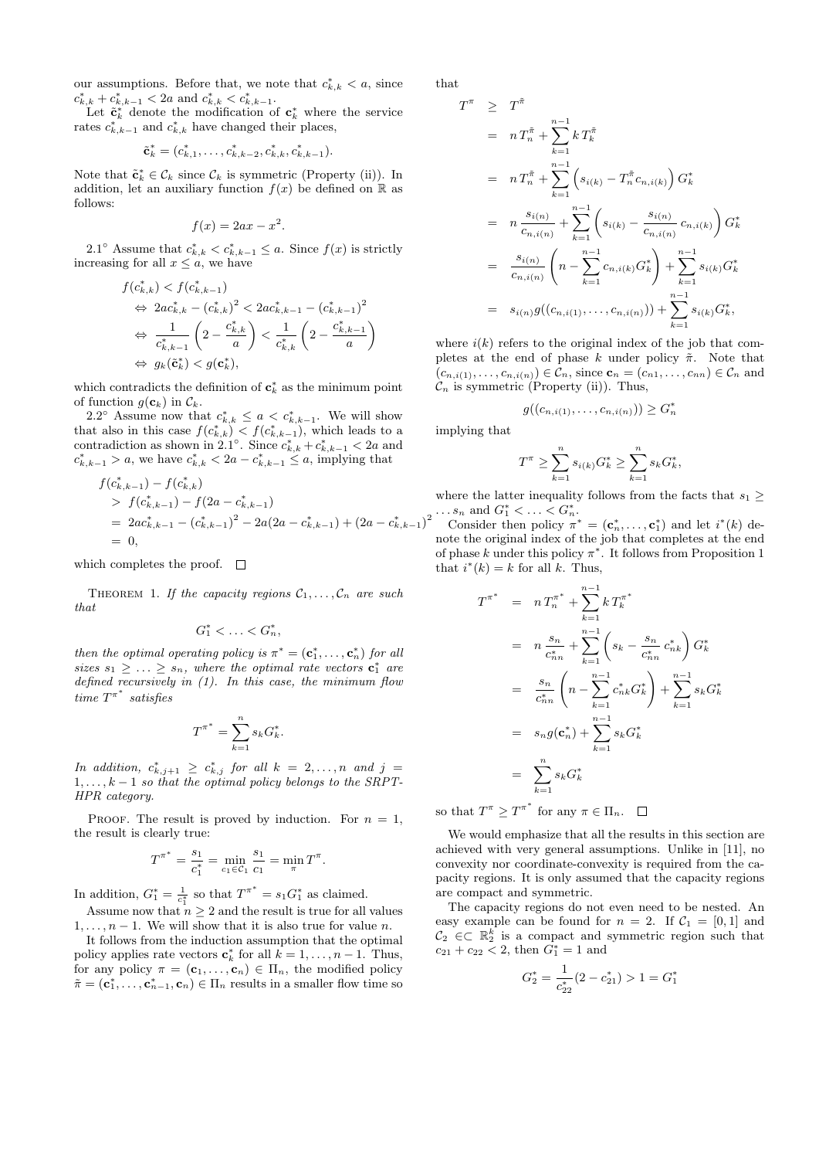our assumptions. Before that, we note that  $c_{k,k}^* < a$ , since  $c_{k,k}^* + c_{k,k-1}^* < 2a$  and  $c_{k,k}^* < c_{k,k-1}^*$ .

Let  $\tilde{\mathbf{c}}_k^*$  denote the modification of  $\mathbf{c}_k^*$  where the service rates  $c_{k,k-1}^*$  and  $c_{k,k}^*$  have changed their places,

$$
\tilde{\mathbf{c}}_k^* = (c_{k,1}^*, \ldots, c_{k,k-2}^*, c_{k,k}^*, c_{k,k-1}^*).
$$

Note that  $\tilde{\mathbf{c}}_k^* \in \mathcal{C}_k$  since  $\mathcal{C}_k$  is symmetric (Property (ii)). In addition, let an auxiliary function  $f(x)$  be defined on R as follows:

$$
f(x) = 2ax - x^2.
$$

2.1<sup>°</sup> Assume that  $c_{k,k}^* < c_{k,k-1}^* \le a$ . Since  $f(x)$  is strictly increasing for all  $x \leq a$ , we have

$$
f(c_{k,k}^*) < f(c_{k,k-1}^*)
$$
\n
$$
\Leftrightarrow 2ac_{k,k}^* - (c_{k,k}^*)^2 < 2ac_{k,k-1}^* - (c_{k,k-1}^*)^2
$$
\n
$$
\Leftrightarrow \frac{1}{c_{k,k-1}^*} \left(2 - \frac{c_{k,k}^*}{a}\right) < \frac{1}{c_{k,k}^*} \left(2 - \frac{c_{k,k-1}^*}{a}\right)
$$
\n
$$
\Leftrightarrow g_k(\tilde{\mathbf{c}}_k^*) < g(\mathbf{c}_k^*),
$$

which contradicts the definition of  $\mathbf{c}_k^*$  as the minimum point of function  $g(\mathbf{c}_k)$  in  $\mathcal{C}_k$ .

2.2<sup>°</sup> Assume now that  $c_{k,k}^* \le a < c_{k,k-1}^*$ . We will show that also in this case  $f(c_{k,k}^*) < f(c_{k,k-1}^*)$ , which leads to a contradiction as shown in 2.1<sup>°</sup>. Since  $c_{k,k}^* + c_{k,k-1}^* < 2a$  and  $c_{k,k-1}^* > a$ , we have  $c_{k,k}^* < 2a - c_{k,k-1}^* \leq a$ , implying that

$$
f(c_{k,k-1}^*) - f(c_{k,k}^*)
$$
  
>  $f(c_{k,k-1}^*) - f(2a - c_{k,k-1}^*)$   
=  $2ac_{k,k-1}^* - (c_{k,k-1}^*)^2 - 2a(2a - c_{k,k-1}^*) + (2a - c_{k,k-1}^*)^2$   
= 0,

which completes the proof.  $\square$ 

THEOREM 1. If the capacity regions  $C_1, \ldots, C_n$  are such *that*

$$
G_1^* < \ldots < G_n^*,
$$

*then the optimal operating policy is*  $\pi^* = (\mathbf{c}_1^*, \dots, \mathbf{c}_n^*)$  *for all sizes*  $s_1 \geq \ldots \geq s_n$ , where the optimal rate vectors  $\mathbf{c}_1^*$  are *defined recursively in (1). In this case, the minimum flow*  $time T^*$  *satisfies* 

$$
T^{\pi^*} = \sum_{k=1}^n s_k G_k^*.
$$

*In addition,*  $c_{k,j+1}^* \geq c_{k,j}^*$  *for all*  $k = 2, ..., n$  *and*  $j =$ 1*, . . . , k −* 1 *so that the optimal policy belongs to the SRPT-HPR category.*

PROOF. The result is proved by induction. For  $n = 1$ , the result is clearly true:

$$
T^{\pi^*} = \frac{s_1}{c_1^*} = \min_{c_1 \in C_1} \frac{s_1}{c_1} = \min_{\pi} T^{\pi}.
$$

In addition,  $G_1^* = \frac{1}{c_1^*}$  so that  $T^{\pi^*} = s_1 G_1^*$  as claimed.

Assume now that  $n \geq 2$  and the result is true for all values 1*, . . . , n −* 1. We will show that it is also true for value *n*.

It follows from the induction assumption that the optimal policy applies rate vectors  $\mathbf{c}_k^*$  for all  $k = 1, \ldots, n-1$ . Thus, for any policy  $\pi = (\mathbf{c}_1, \dots, \mathbf{c}_n) \in \Pi_n$ , the modified policy  $\tilde{\pi} = (\mathbf{c}_1^*, \dots, \mathbf{c}_{n-1}^*, \mathbf{c}_n) \in \Pi_n$  results in a smaller flow time so

that

$$
T^{\pi} \geq T^{\tilde{\pi}}
$$
  
\n
$$
= n T_n^{\tilde{\pi}} + \sum_{k=1}^{n-1} k T_k^{\tilde{\pi}}
$$
  
\n
$$
= n T_n^{\tilde{\pi}} + \sum_{k=1}^{n-1} \left( s_{i(k)} - T_n^{\tilde{\pi}} c_{n,i(k)} \right) G_k^*
$$
  
\n
$$
= n \frac{s_{i(n)}}{c_{n,i(n)}} + \sum_{k=1}^{n-1} \left( s_{i(k)} - \frac{s_{i(n)}}{c_{n,i(n)}} c_{n,i(k)} \right) G_k^*
$$
  
\n
$$
= \frac{s_{i(n)}}{c_{n,i(n)}} \left( n - \sum_{k=1}^{n-1} c_{n,i(k)} G_k^* \right) + \sum_{k=1}^{n-1} s_{i(k)} G_k^*
$$
  
\n
$$
= s_{i(n)} g((c_{n,i(1)}, \dots, c_{n,i(n)})) + \sum_{k=1}^{n-1} s_{i(k)} G_k^*,
$$

where  $i(k)$  refers to the original index of the job that completes at the end of phase *k* under policy  $\tilde{\pi}$ . Note that  $(c_{n,i(1)}, \ldots, c_{n,i(n)}) \in \mathcal{C}_n$ , since  $\mathbf{c}_n = (c_{n1}, \ldots, c_{nn}) \in \mathcal{C}_n$  and  $\mathcal{C}_n$  is symmetric (Property (ii)). Thus,

$$
g((c_{n,i(1)},\ldots,c_{n,i(n)}))\geq G_n^*
$$

implying that

$$
T^{\pi} \ge \sum_{k=1}^{n} s_{i(k)} G_k^* \ge \sum_{k=1}^{n} s_k G_k^*,
$$

where the latter inequality follows from the facts that  $s_1 \geq$  $\ldots s_n$  and  $G_1^* < \ldots < G_n^*$ .

Consider then policy  $\pi^* = (\mathbf{c}_n^*, \dots, \mathbf{c}_1^*)$  and let  $i^*(k)$  denote the original index of the job that completes at the end of phase  $k$  under this policy  $\pi^*$ . It follows from Proposition 1 that  $i^*(k) = k$  for all *k*. Thus,

$$
T^{\pi^*} = n T_n^{\pi^*} + \sum_{k=1}^{n-1} k T_k^{\pi^*}
$$
  
\n
$$
= n \frac{s_n}{c_{nn}^*} + \sum_{k=1}^{n-1} \left( s_k - \frac{s_n}{c_{nn}^*} c_{nk}^* \right) G_k^*
$$
  
\n
$$
= \frac{s_n}{c_{nn}^*} \left( n - \sum_{k=1}^{n-1} c_{nk}^* G_k^* \right) + \sum_{k=1}^{n-1} s_k G_k^*
$$
  
\n
$$
= s_n g(\mathbf{c}_n^*) + \sum_{k=1}^{n-1} s_k G_k^*
$$
  
\n
$$
= \sum_{k=1}^n s_k G_k^*
$$

so that  $T^{\pi} \geq T^{\pi^*}$  for any  $\pi \in \Pi_n$ .

We would emphasize that all the results in this section are achieved with very general assumptions. Unlike in [11], no convexity nor coordinate-convexity is required from the capacity regions. It is only assumed that the capacity regions are compact and symmetric.

The capacity regions do not even need to be nested. An easy example can be found for  $n = 2$ . If  $C_1 = [0, 1]$  and  $\mathcal{C}_2 \in \subset \mathbb{R}_2^k$  is a compact and symmetric region such that  $c_{21} + c_{22} < 2$ , then  $G_1^* = 1$  and

$$
G_2^* = \frac{1}{c_{22}^*} (2 - c_{21}^*) > 1 = G_1^*
$$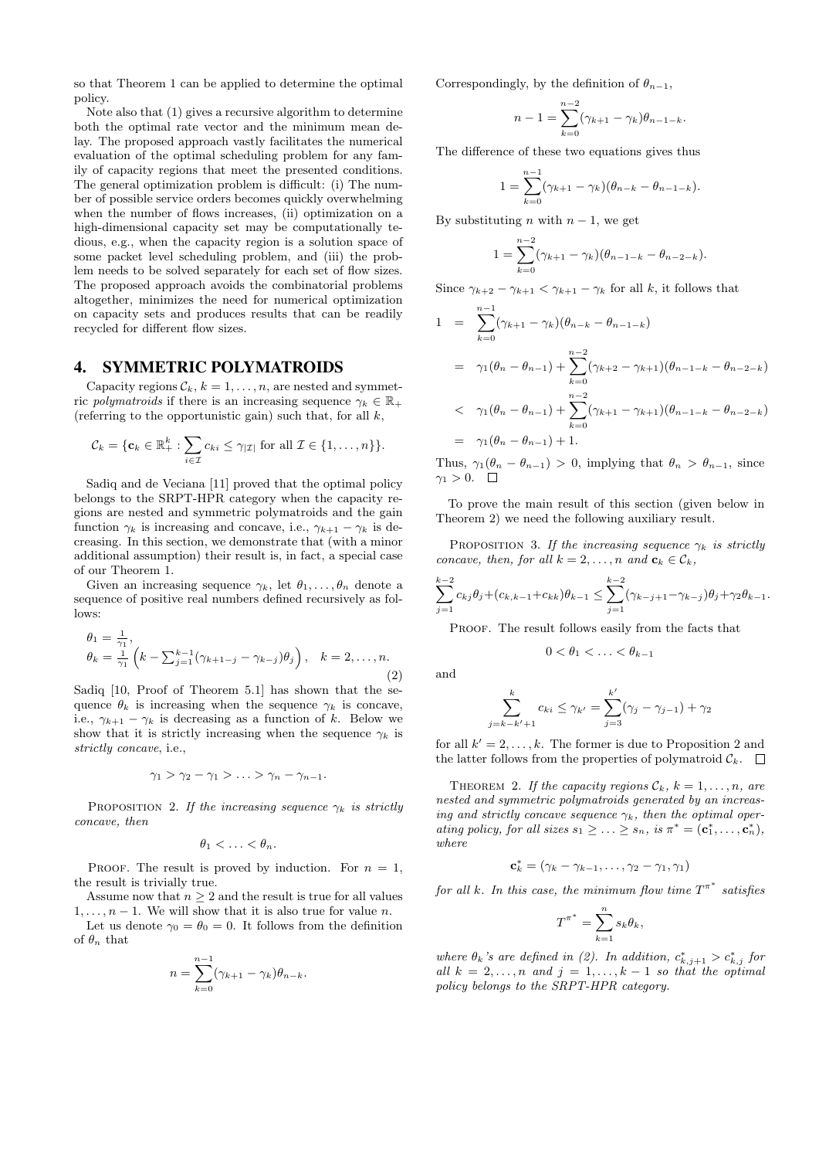so that Theorem 1 can be applied to determine the optimal policy.

Note also that (1) gives a recursive algorithm to determine both the optimal rate vector and the minimum mean delay. The proposed approach vastly facilitates the numerical evaluation of the optimal scheduling problem for any family of capacity regions that meet the presented conditions. The general optimization problem is difficult: (i) The number of possible service orders becomes quickly overwhelming when the number of flows increases, (ii) optimization on a high-dimensional capacity set may be computationally tedious, e.g., when the capacity region is a solution space of some packet level scheduling problem, and (iii) the problem needs to be solved separately for each set of flow sizes. The proposed approach avoids the combinatorial problems altogether, minimizes the need for numerical optimization on capacity sets and produces results that can be readily recycled for different flow sizes.

## 4. SYMMETRIC POLYMATROIDS

Capacity regions  $C_k$ ,  $k = 1, \ldots, n$ , are nested and symmetric *polymatroids* if there is an increasing sequence  $\gamma_k \in \mathbb{R}_+$ (referring to the opportunistic gain) such that, for all *k*,

$$
\mathcal{C}_k = \{ \mathbf{c}_k \in \mathbb{R}_+^k : \sum_{i \in \mathcal{I}} c_{ki} \leq \gamma_{|\mathcal{I}|} \text{ for all } \mathcal{I} \in \{1, \ldots, n\} \}.
$$

Sadiq and de Veciana [11] proved that the optimal policy belongs to the SRPT-HPR category when the capacity regions are nested and symmetric polymatroids and the gain function  $\gamma_k$  is increasing and concave, i.e.,  $\gamma_{k+1} - \gamma_k$  is decreasing. In this section, we demonstrate that (with a minor additional assumption) their result is, in fact, a special case of our Theorem 1.

Given an increasing sequence  $\gamma_k$ , let  $\theta_1, \ldots, \theta_n$  denote a sequence of positive real numbers defined recursively as follows:

$$
\theta_1 = \frac{1}{\gamma_1}, \n\theta_k = \frac{1}{\gamma_1} \left( k - \sum_{j=1}^{k-1} (\gamma_{k+1-j} - \gamma_{k-j}) \theta_j \right), \quad k = 2, ..., n.
$$
\n(2)

Sadiq [10, Proof of Theorem 5.1] has shown that the sequence  $\theta_k$  is increasing when the sequence  $\gamma_k$  is concave, i.e.,  $\gamma_{k+1} - \gamma_k$  is decreasing as a function of *k*. Below we show that it is strictly increasing when the sequence  $\gamma_k$  is *strictly concave*, i.e.,

$$
\gamma_1 > \gamma_2 - \gamma_1 > \ldots > \gamma_n - \gamma_{n-1}.
$$

PROPOSITION 2. If the increasing sequence  $\gamma_k$  is strictly *concave, then*

$$
\theta_1 < \ldots < \theta_n.
$$

PROOF. The result is proved by induction. For  $n = 1$ , the result is trivially true.

Assume now that  $n \geq 2$  and the result is true for all values 1*, . . . , n −* 1. We will show that it is also true for value *n*.

Let us denote  $\gamma_0 = \theta_0 = 0$ . It follows from the definition of  $\theta_n$  that

$$
n = \sum_{k=0}^{n-1} (\gamma_{k+1} - \gamma_k) \theta_{n-k}.
$$

Correspondingly, by the definition of  $\theta_{n-1}$ ,

$$
n - 1 = \sum_{k=0}^{n-2} (\gamma_{k+1} - \gamma_k) \theta_{n-1-k}.
$$

The difference of these two equations gives thus

$$
1 = \sum_{k=0}^{n-1} (\gamma_{k+1} - \gamma_k)(\theta_{n-k} - \theta_{n-1-k}).
$$

By substituting *n* with  $n-1$ , we get

$$
1 = \sum_{k=0}^{n-2} (\gamma_{k+1} - \gamma_k)(\theta_{n-1-k} - \theta_{n-2-k}).
$$

Since  $\gamma_{k+2} - \gamma_{k+1} < \gamma_{k+1} - \gamma_k$  for all *k*, it follows that

$$
1 = \sum_{k=0}^{n-1} (\gamma_{k+1} - \gamma_k)(\theta_{n-k} - \theta_{n-1-k})
$$
  
\n
$$
= \gamma_1(\theta_n - \theta_{n-1}) + \sum_{k=0}^{n-2} (\gamma_{k+2} - \gamma_{k+1})(\theta_{n-1-k} - \theta_{n-2-k})
$$
  
\n
$$
< \gamma_1(\theta_n - \theta_{n-1}) + \sum_{k=0}^{n-2} (\gamma_{k+1} - \gamma_{k+1})(\theta_{n-1-k} - \theta_{n-2-k})
$$
  
\n
$$
= \gamma_1(\theta_n - \theta_{n-1}) + 1.
$$

Thus,  $\gamma_1(\theta_n - \theta_{n-1}) > 0$ , implying that  $\theta_n > \theta_{n-1}$ , since  $\gamma_1 > 0$ .  $\Box$ 

To prove the main result of this section (given below in Theorem 2) we need the following auxiliary result.

PROPOSITION 3. If the increasing sequence  $\gamma_k$  is strictly *concave, then, for all*  $k = 2, ..., n$  *and*  $c_k \in C_k$ *,* 

$$
\sum_{j=1}^{k-2} c_{kj} \theta_j + (c_{k,k-1} + c_{kk}) \theta_{k-1} \leq \sum_{j=1}^{k-2} (\gamma_{k-j+1} - \gamma_{k-j}) \theta_j + \gamma_2 \theta_{k-1}.
$$

PROOF. The result follows easily from the facts that

$$
0<\theta_1<\ldots<\theta_{k-1}
$$

and

$$
\sum_{j=k-k'+1}^{k} c_{ki} \le \gamma_{k'} = \sum_{j=3}^{k'} (\gamma_j - \gamma_{j-1}) + \gamma_2
$$

for all  $k' = 2, \ldots, k$ . The former is due to Proposition 2 and the latter follows from the properties of polymatroid  $\mathcal{C}_k$ .  $\Box$ 

THEOREM 2. If the capacity regions  $\mathcal{C}_k$ ,  $k = 1, \ldots, n$ , are *nested and symmetric polymatroids generated by an increasing and strictly concave sequence*  $\gamma_k$ *, then the optimal operating policy, for all sizes*  $s_1 \geq \ldots \geq s_n$ *, is*  $\pi^* = (\mathbf{c}_1^*, \ldots, \mathbf{c}_n^*)$ *, where*

$$
\mathbf{c}_k^* = (\gamma_k - \gamma_{k-1}, \dots, \gamma_2 - \gamma_1, \gamma_1)
$$

*for all k. In this case, the minimum flow time*  $T^{\pi^*}$  *satisfies* 

$$
T^{\pi^*} = \sum_{k=1}^n s_k \theta_k,
$$

*where*  $\theta_k$ 's are defined in (2). In addition,  $c^*_{k,j+1} > c^*_{k,j}$  for *all*  $k = 2, \ldots, n$  *and*  $j = 1, \ldots, k - 1$  *so that the optimal policy belongs to the SRPT-HPR category.*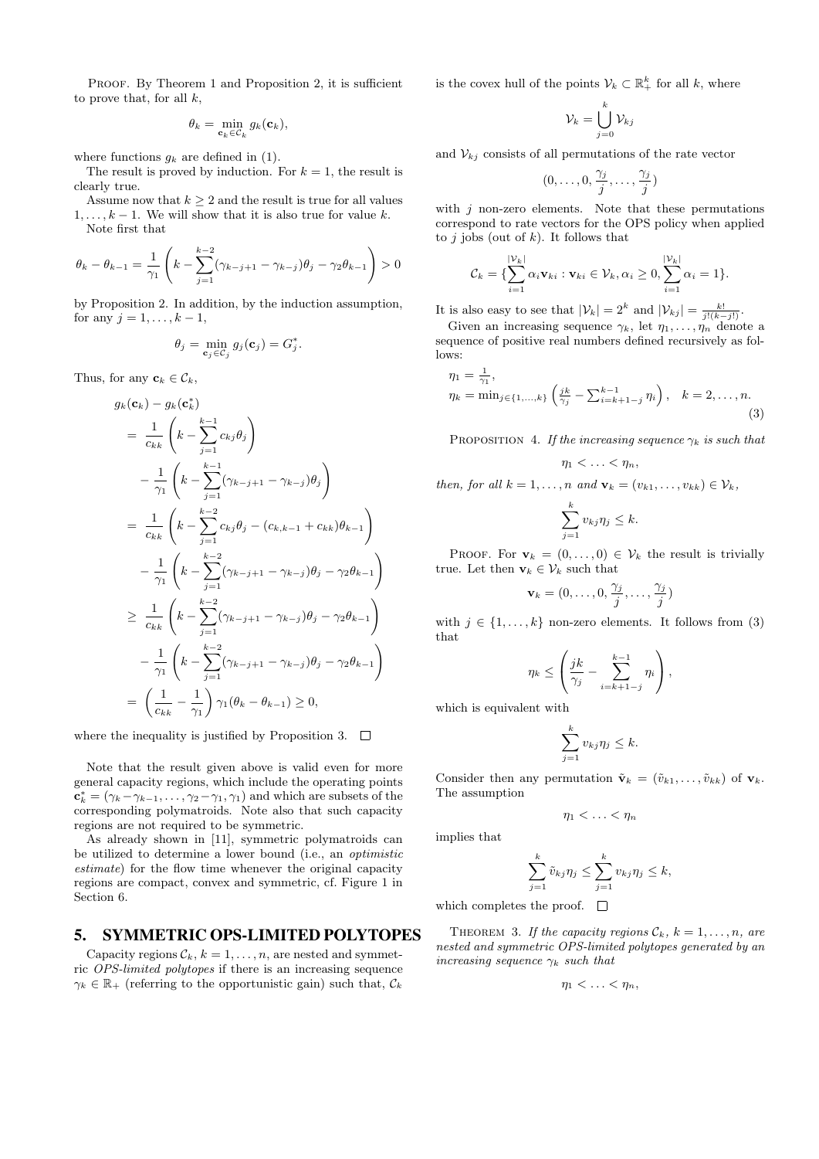PROOF. By Theorem 1 and Proposition 2, it is sufficient to prove that, for all *k*,

$$
\theta_k = \min_{\mathbf{c}_k \in \mathcal{C}_k} g_k(\mathbf{c}_k),
$$

where functions  $g_k$  are defined in  $(1)$ .

The result is proved by induction. For  $k = 1$ , the result is clearly true.

Assume now that  $k \geq 2$  and the result is true for all values 1*, . . . , k −* 1. We will show that it is also true for value *k*.

$$
\theta_k - \theta_{k-1} = \frac{1}{\gamma_1} \left( k - \sum_{j=1}^{k-2} (\gamma_{k-j+1} - \gamma_{k-j}) \theta_j - \gamma_2 \theta_{k-1} \right) > 0
$$

by Proposition 2. In addition, by the induction assumption, for any  $j = 1, \ldots, k - 1$ ,

$$
\theta_j = \min_{\mathbf{c}_j \in C_j} g_j(\mathbf{c}_j) = G_j^*.
$$

Thus, for any  $\mathbf{c}_k \in \mathcal{C}_k$ ,

Note first that

$$
g_k(c_k) - g_k(c_k^*)
$$
  
=  $\frac{1}{c_{kk}} \left( k - \sum_{j=1}^{k-1} c_{kj} \theta_j \right)$   
 $-\frac{1}{\gamma_1} \left( k - \sum_{j=1}^{k-1} (\gamma_{k-j+1} - \gamma_{k-j}) \theta_j \right)$   
=  $\frac{1}{c_{kk}} \left( k - \sum_{j=1}^{k-2} c_{kj} \theta_j - (c_{k,k-1} + c_{kk}) \theta_{k-1} \right)$   
 $-\frac{1}{\gamma_1} \left( k - \sum_{j=1}^{k-2} (\gamma_{k-j+1} - \gamma_{k-j}) \theta_j - \gamma_2 \theta_{k-1} \right)$   
 $\geq \frac{1}{c_{kk}} \left( k - \sum_{j=1}^{k-2} (\gamma_{k-j+1} - \gamma_{k-j}) \theta_j - \gamma_2 \theta_{k-1} \right)$   
 $-\frac{1}{\gamma_1} \left( k - \sum_{j=1}^{k-2} (\gamma_{k-j+1} - \gamma_{k-j}) \theta_j - \gamma_2 \theta_{k-1} \right)$   
=  $\left( \frac{1}{c_{kk}} - \frac{1}{\gamma_1} \right) \gamma_1 (\theta_k - \theta_{k-1}) \geq 0,$ 

where the inequality is justified by Proposition 3.  $\Box$ 

Note that the result given above is valid even for more general capacity regions, which include the operating points  $\mathbf{c}_k^* = (\gamma_k - \gamma_{k-1}, \dots, \gamma_2 - \gamma_1, \gamma_1)$  and which are subsets of the corresponding polymatroids. Note also that such capacity regions are not required to be symmetric.

As already shown in [11], symmetric polymatroids can be utilized to determine a lower bound (i.e., an *optimistic estimate*) for the flow time whenever the original capacity regions are compact, convex and symmetric, cf. Figure 1 in Section 6.

## 5. SYMMETRIC OPS-LIMITED POLYTOPES

Capacity regions  $\mathcal{C}_k$ ,  $k = 1, \ldots, n$ , are nested and symmetric *OPS-limited polytopes* if there is an increasing sequence  $\gamma_k \in \mathbb{R}_+$  (referring to the opportunistic gain) such that,  $\mathcal{C}_k$ 

is the covex hull of the points  $\mathcal{V}_k \subset \mathbb{R}_+^k$  for all *k*, where

$$
\mathcal{V}_k = \bigcup_{j=0}^k \mathcal{V}_{kj}
$$

and  $V_{kj}$  consists of all permutations of the rate vector

 $(0, \ldots, 0, \frac{\gamma_j}{j})$  $\frac{\gamma_j}{j}, \ldots, \frac{\gamma_j}{j}$  $\frac{jj}{j})$ 

with  $j$  non-zero elements. Note that these permutations correspond to rate vectors for the OPS policy when applied to *j* jobs (out of *k*). It follows that

$$
\mathcal{C}_k = \{\sum_{i=1}^{|\mathcal{V}_k|} \alpha_i \mathbf{v}_{ki} : \mathbf{v}_{ki} \in \mathcal{V}_k, \alpha_i \geq 0, \sum_{i=1}^{|\mathcal{V}_k|} \alpha_i = 1\}.
$$

It is also easy to see that  $|\mathcal{V}_k| = 2^k$  and  $|\mathcal{V}_{kj}| = \frac{k!}{j!(k-j)!}$ .

Given an increasing sequence  $\gamma_k$ , let  $\eta_1, \ldots, \eta_n$  denote a sequence of positive real numbers defined recursively as follows:

$$
\eta_1 = \frac{1}{\gamma_1},
$$
  
\n
$$
\eta_k = \min_{j \in \{1, ..., k\}} \left( \frac{jk}{\gamma_j} - \sum_{i=k+1-j}^{k-1} \eta_i \right), \quad k = 2, ..., n.
$$
\n(3)

PROPOSITION 4. *If the increasing sequence*  $\gamma_k$  *is such that*  $\eta_1 < \ldots < \eta_n$ 

then, for all 
$$
k = 1, ..., n
$$
 and  $\mathbf{v}_k = (v_{k1}, ..., v_{kk}) \in \mathcal{V}_k$ ,

∑*k j*=1  $v_{kj}\eta_j \leq k$ .

PROOF. For  $\mathbf{v}_k = (0, \ldots, 0) \in \mathcal{V}_k$  the result is trivially true. Let then  $\mathbf{v}_k \in \mathcal{V}_k$  such that

$$
\mathbf{v}_k = (0, \ldots, 0, \frac{\gamma_j}{j}, \ldots, \frac{\gamma_j}{j})
$$

with  $j \in \{1, \ldots, k\}$  non-zero elements. It follows from (3) that

$$
\eta_k \le \left(\frac{jk}{\gamma_j} - \sum_{i=k+1-j}^{k-1} \eta_i\right),\,
$$

which is equivalent with

$$
\sum_{j=1}^k v_{kj} \eta_j \leq k.
$$

Consider then any permutation  $\tilde{\mathbf{v}}_k = (\tilde{v}_{k1}, \dots, \tilde{v}_{kk})$  of  $\mathbf{v}_k$ . The assumption

$$
\eta_1<\ldots<\eta_n
$$

implies that

$$
\sum_{j=1}^k \tilde{v}_{kj} \eta_j \le \sum_{j=1}^k v_{kj} \eta_j \le k,
$$

which completes the proof.  $\square$ 

THEOREM 3. If the capacity regions  $\mathcal{C}_k$ ,  $k = 1, \ldots, n$ , are *nested and symmetric OPS-limited polytopes generated by an increasing sequence γ<sup>k</sup> such that*

$$
\eta_1<\ldots<\eta_n,
$$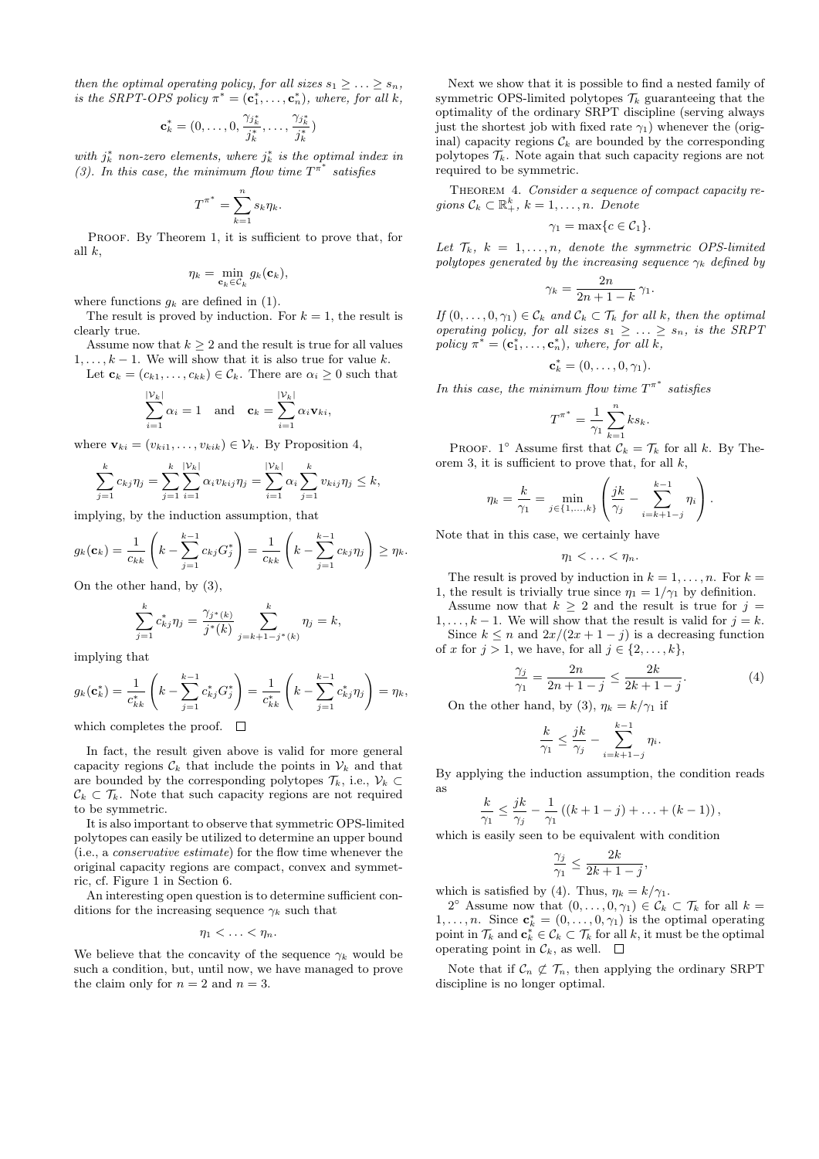*then the optimal operating policy, for all sizes*  $s_1 \geq \ldots \geq s_n$ , *is the SRPT-OPS policy*  $\pi^* = (\mathbf{c}_1^*, \dots, \mathbf{c}_n^*)$ *, where, for all k,* 

$$
\mathbf{c}^*_k = (0, \dots, 0, \frac{\gamma_{j^*_k}}{j^*_k}, \dots, \frac{\gamma_{j^*_k}}{j^*_k})
$$

*with*  $j_k^*$  *non-zero elements, where*  $j_k^*$  *is the optimal index in (3). In this case, the minimum flow time*  $T^{\pi^*}$  satisfies

$$
T^{\pi^*} = \sum_{k=1}^n s_k \eta_k.
$$

PROOF. By Theorem 1, it is sufficient to prove that, for all *k*,

$$
\eta_k = \min_{\mathbf{c}_k \in \mathcal{C}_k} g_k(\mathbf{c}_k),
$$

where functions  $q_k$  are defined in (1).

The result is proved by induction. For  $k = 1$ , the result is clearly true.

Assume now that  $k \geq 2$  and the result is true for all values 1*, . . . , k −* 1. We will show that it is also true for value *k*.

Let  $\mathbf{c}_k = (c_{k1}, \ldots, c_{kk}) \in C_k$ . There are  $\alpha_i \geq 0$  such that

$$
\sum_{i=1}^{|\mathcal{V}_k|} \alpha_i = 1 \quad \text{and} \quad \mathbf{c}_k = \sum_{i=1}^{|\mathcal{V}_k|} \alpha_i \mathbf{v}_{ki},
$$

where  $\mathbf{v}_{ki} = (v_{ki1}, \dots, v_{kik}) \in \mathcal{V}_k$ . By Proposition 4,

$$
\sum_{j=1}^{k} c_{kj} \eta_j = \sum_{j=1}^{k} \sum_{i=1}^{|\mathcal{V}_k|} \alpha_i v_{kij} \eta_j = \sum_{i=1}^{|\mathcal{V}_k|} \alpha_i \sum_{j=1}^{k} v_{kij} \eta_j \leq k,
$$

implying, by the induction assumption, that

$$
g_k(c_k) = \frac{1}{c_{kk}} \left( k - \sum_{j=1}^{k-1} c_{kj} G_j^* \right) = \frac{1}{c_{kk}} \left( k - \sum_{j=1}^{k-1} c_{kj} \eta_j \right) \ge \eta_k.
$$

On the other hand, by (3),

$$
\sum_{j=1}^{k} c_{kj}^* \eta_j = \frac{\gamma_{j^*(k)}}{j^*(k)} \sum_{j=k+1-j^*(k)}^k \eta_j = k,
$$

implying that

$$
g_k(\mathbf{c}_k^*) = \frac{1}{c_{kk}^*} \left( k - \sum_{j=1}^{k-1} c_{kj}^* G_j^* \right) = \frac{1}{c_{kk}^*} \left( k - \sum_{j=1}^{k-1} c_{kj}^* \eta_j \right) = \eta_k,
$$

which completes the proof.  $\square$ 

In fact, the result given above is valid for more general capacity regions  $\mathcal{C}_k$  that include the points in  $\mathcal{V}_k$  and that are bounded by the corresponding polytopes  $\mathcal{T}_k$ , i.e.,  $\mathcal{V}_k \subset$  $C_k \subset \mathcal{T}_k$ . Note that such capacity regions are not required to be symmetric.

It is also important to observe that symmetric OPS-limited polytopes can easily be utilized to determine an upper bound (i.e., a *conservative estimate*) for the flow time whenever the original capacity regions are compact, convex and symmetric, cf. Figure 1 in Section 6.

An interesting open question is to determine sufficient conditions for the increasing sequence  $\gamma_k$  such that

$$
\eta_1<\ldots<\eta_n.
$$

We believe that the concavity of the sequence  $\gamma_k$  would be such a condition, but, until now, we have managed to prove the claim only for  $n = 2$  and  $n = 3$ .

Next we show that it is possible to find a nested family of symmetric OPS-limited polytopes  $\mathcal{T}_k$  guaranteeing that the optimality of the ordinary SRPT discipline (serving always just the shortest job with fixed rate  $\gamma_1$ ) whenever the (original) capacity regions  $\mathcal{C}_k$  are bounded by the corresponding polytopes  $\mathcal{T}_k$ . Note again that such capacity regions are not required to be symmetric.

Theorem 4. *Consider a sequence of compact capacity regions*  $C_k \subset \mathbb{R}_+^k$ ,  $k = 1, \ldots, n$ *. Denote* 

$$
\gamma_1 = \max\{c \in C_1\}.
$$

Let  $\mathcal{T}_k$ ,  $k = 1, \ldots, n$ , denote the symmetric OPS-limited *polytopes generated by the increasing sequence*  $\gamma_k$  *defined by* 

$$
\gamma_k = \frac{2n}{2n+1-k} \, \gamma_1.
$$

 $If (0, \ldots, 0, \gamma_1) \in C_k$  *and*  $C_k \subset T_k$  *for all k, then the optimal operating policy, for all sizes*  $s_1 \geq \ldots \geq s_n$ *, is the SRPT policy*  $\pi^* = (\mathbf{c}_1^*, \dots, \mathbf{c}_n^*)$ *, where, for all k,* 

$$
\mathbf{c}_k^* = (0,\ldots,0,\gamma_1).
$$

*In this case, the minimum flow time*  $T^{\pi^*}$  *satisfies* 

$$
T^{\pi^*} = \frac{1}{\gamma_1} \sum_{k=1}^n k s_k.
$$

PROOF. 1<sup>°</sup> Assume first that  $C_k = T_k$  for all *k*. By Theorem 3, it is sufficient to prove that, for all *k*,

$$
\eta_k = \frac{k}{\gamma_1} = \min_{j \in \{1, ..., k\}} \left( \frac{jk}{\gamma_j} - \sum_{i=k+1-j}^{k-1} \eta_i \right).
$$

Note that in this case, we certainly have

$$
\eta_1<\ldots<\eta_n.
$$

The result is proved by induction in  $k = 1, \ldots, n$ . For  $k =$ 1, the result is trivially true since  $\eta_1 = 1/\gamma_1$  by definition.

Assume now that  $k \geq 2$  and the result is true for  $j =$ 1, ...,  $k − 1$ . We will show that the result is valid for  $j = k$ . Since  $k \leq n$  and  $2x/(2x+1-j)$  is a decreasing function

of *x* for  $j > 1$ , we have, for all  $j \in \{2, ..., k\}$ ,

$$
\frac{\gamma_j}{\gamma_1} = \frac{2n}{2n+1-j} \le \frac{2k}{2k+1-j}.
$$
 (4)

On the other hand, by (3),  $\eta_k = k/\gamma_1$  if

$$
\frac{k}{\gamma_1} \le \frac{jk}{\gamma_j} - \sum_{i=k+1-j}^{k-1} \eta_i.
$$

By applying the induction assumption, the condition reads as

$$
\frac{k}{\gamma_1} \leq \frac{jk}{\gamma_j} - \frac{1}{\gamma_1} \left( (k+1-j) + \ldots + (k-1) \right),
$$

which is easily seen to be equivalent with condition

$$
\frac{\gamma_j}{\gamma_1} \le \frac{2k}{2k+1-j},
$$

which is satisfied by (4). Thus,  $\eta_k = k/\gamma_1$ .

<sup>2</sup> Assume now that  $(0, \ldots, 0, \gamma_1) \in C_k \subset \mathcal{T}_k$  for all  $k =$ 1, ..., *n*. Since  $\mathbf{c}_k^* = (0, \ldots, 0, \gamma_1)$  is the optimal operating point in  $\mathcal{T}_k$  and  $\mathbf{c}_k^* \in \mathcal{C}_k \subset \mathcal{T}_k$  for all  $k$ , it must be the optimal operating point in  $\mathcal{C}_k$ , as well.  $\Box$ 

Note that if  $\mathcal{C}_n \not\subset \mathcal{T}_n$ , then applying the ordinary SRPT discipline is no longer optimal.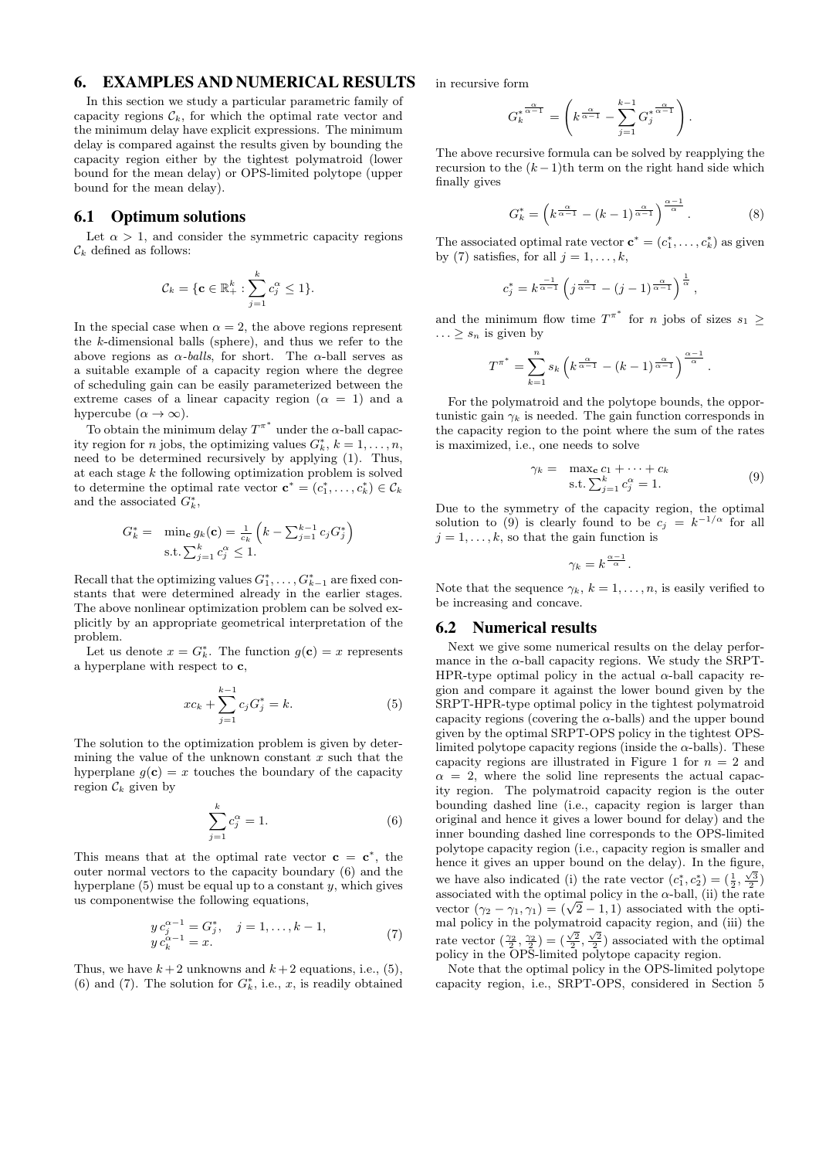# 6. EXAMPLES AND NUMERICAL RESULTS

In this section we study a particular parametric family of capacity regions  $\mathcal{C}_k$ , for which the optimal rate vector and the minimum delay have explicit expressions. The minimum delay is compared against the results given by bounding the capacity region either by the tightest polymatroid (lower bound for the mean delay) or OPS-limited polytope (upper bound for the mean delay).

#### 6.1 Optimum solutions

Let  $\alpha > 1$ , and consider the symmetric capacity regions  $\mathcal{C}_k$  defined as follows:

$$
\mathcal{C}_k = \{ \mathbf{c} \in \mathbb{R}_+^k : \sum_{j=1}^k c_j^{\alpha} \le 1 \}.
$$

In the special case when  $\alpha = 2$ , the above regions represent the *k*-dimensional balls (sphere), and thus we refer to the above regions as  $\alpha$ -*balls*, for short. The  $\alpha$ -ball serves as a suitable example of a capacity region where the degree of scheduling gain can be easily parameterized between the extreme cases of a linear capacity region  $(\alpha = 1)$  and a hypercube  $(\alpha \to \infty)$ .

To obtain the minimum delay  $T^{\pi^*}$  under the *α*-ball capacity region for *n* jobs, the optimizing values  $G_k^*$ ,  $k = 1, \ldots, n$ , need to be determined recursively by applying (1). Thus, at each stage *k* the following optimization problem is solved to determine the optimal rate vector  $\mathbf{c}^* = (c_1^*, \dots, c_k^*) \in C_k$ and the associated  $G_k^*$ ,

$$
G_k^* = \min_{\mathbf{c}} g_k(\mathbf{c}) = \frac{1}{c_k} \left( k - \sum_{j=1}^{k-1} c_j G_j^* \right)
$$
  
s.t.  $\sum_{j=1}^k c_j^{\alpha} \le 1$ .

Recall that the optimizing values  $G_1^*, \ldots, G_{k-1}^*$  are fixed constants that were determined already in the earlier stages. The above nonlinear optimization problem can be solved explicitly by an appropriate geometrical interpretation of the problem.

Let us denote  $x = G_k^*$ . The function  $g(\mathbf{c}) = x$  represents a hyperplane with respect to **c**,

$$
xc_k + \sum_{j=1}^{k-1} c_j G_j^* = k.
$$
 (5)

The solution to the optimization problem is given by determining the value of the unknown constant *x* such that the hyperplane  $g(c) = x$  touches the boundary of the capacity region  $\mathcal{C}_k$  given by

$$
\sum_{j=1}^{k} c_j^{\alpha} = 1.
$$
 (6)

This means that at the optimal rate vector  $\mathbf{c} = \mathbf{c}^*$ , the outer normal vectors to the capacity boundary (6) and the hyperplane  $(5)$  must be equal up to a constant  $\gamma$ , which gives us componentwise the following equations,

$$
y c_j^{\alpha - 1} = G_j^*, \quad j = 1, \dots, k - 1, \n y c_k^{\alpha - 1} = x.
$$
\n(7)

Thus, we have  $k+2$  unknowns and  $k+2$  equations, i.e., (5), (6) and (7). The solution for  $G_k^*$ , i.e., *x*, is readily obtained

in recursive form

$$
G_k^{\ast \frac{\alpha}{\alpha-1}} = \left( k^{\frac{\alpha}{\alpha-1}} - \sum_{j=1}^{k-1} G_j^{\ast \frac{\alpha}{\alpha-1}} \right).
$$

The above recursive formula can be solved by reapplying the recursion to the  $(k-1)$ th term on the right hand side which finally gives

$$
G_k^* = \left(k^{\frac{\alpha}{\alpha - 1}} - (k - 1)^{\frac{\alpha}{\alpha - 1}}\right)^{\frac{\alpha - 1}{\alpha}}.\tag{8}
$$

The associated optimal rate vector  $\mathbf{c}^* = (c_1^*, \ldots, c_k^*)$  as given by (7) satisfies, for all  $j = 1, \ldots, k$ ,

$$
c_j^* = k^{\frac{-1}{\alpha - 1}} \left( j^{\frac{\alpha}{\alpha - 1}} - (j - 1)^{\frac{\alpha}{\alpha - 1}} \right)^{\frac{1}{\alpha}},
$$

and the minimum flow time  $T^{\pi^*}$  for *n* jobs of sizes  $s_1 \geq$  $\ldots \geq s_n$  is given by

$$
T^{\pi^*} = \sum_{k=1}^n s_k \left( k^{\frac{\alpha}{\alpha-1}} - (k-1)^{\frac{\alpha}{\alpha-1}} \right)^{\frac{\alpha-1}{\alpha}}.
$$

For the polymatroid and the polytope bounds, the opportunistic gain  $\gamma_k$  is needed. The gain function corresponds in the capacity region to the point where the sum of the rates is maximized, i.e., one needs to solve

$$
\gamma_k = \max_{\mathbf{c}} c_1 + \dots + c_k
$$
  
s.t. 
$$
\sum_{j=1}^k c_j^{\alpha} = 1.
$$
 (9)

Due to the symmetry of the capacity region, the optimal solution to (9) is clearly found to be  $c_j = k^{-1/\alpha}$  for all  $j = 1, \ldots, k$ , so that the gain function is

$$
\gamma_k = k^{\frac{\alpha - 1}{\alpha}}.
$$

Note that the sequence  $\gamma_k$ ,  $k = 1, \ldots, n$ , is easily verified to be increasing and concave.

#### 6.2 Numerical results

Next we give some numerical results on the delay performance in the  $\alpha$ -ball capacity regions. We study the SRPT-HPR-type optimal policy in the actual  $\alpha$ -ball capacity region and compare it against the lower bound given by the SRPT-HPR-type optimal policy in the tightest polymatroid capacity regions (covering the  $\alpha$ -balls) and the upper bound given by the optimal SRPT-OPS policy in the tightest OPSlimited polytope capacity regions (inside the  $\alpha$ -balls). These capacity regions are illustrated in Figure 1 for  $n = 2$  and  $\alpha = 2$ , where the solid line represents the actual capacity region. The polymatroid capacity region is the outer bounding dashed line (i.e., capacity region is larger than original and hence it gives a lower bound for delay) and the inner bounding dashed line corresponds to the OPS-limited polytope capacity region (i.e., capacity region is smaller and hence it gives an upper bound on the delay). In the figure, we have also indicated (i) the rate vector  $(c_1^*, c_2^*) = (\frac{1}{2}, \frac{\sqrt{3}}{2})$ associated with the optimal policy in the  $\alpha$ -ball, (ii) the rate associated with the optimal policy in the  $\alpha$ -ball, (ii) the rate<br>vector  $(\gamma_2 - \gamma_1, \gamma_1) = (\sqrt{2} - 1, 1)$  associated with the optimal policy in the polymatroid capacity region, and (iii) the *√ √* rate vector  $(\frac{\gamma_2}{2}, \frac{\gamma_2}{2}) = (\frac{\sqrt{2}}{2}, \frac{\sqrt{2}}{2})$  associated with the optimal policy in the OPS-limited polytope capacity region.

Note that the optimal policy in the OPS-limited polytope capacity region, i.e., SRPT-OPS, considered in Section 5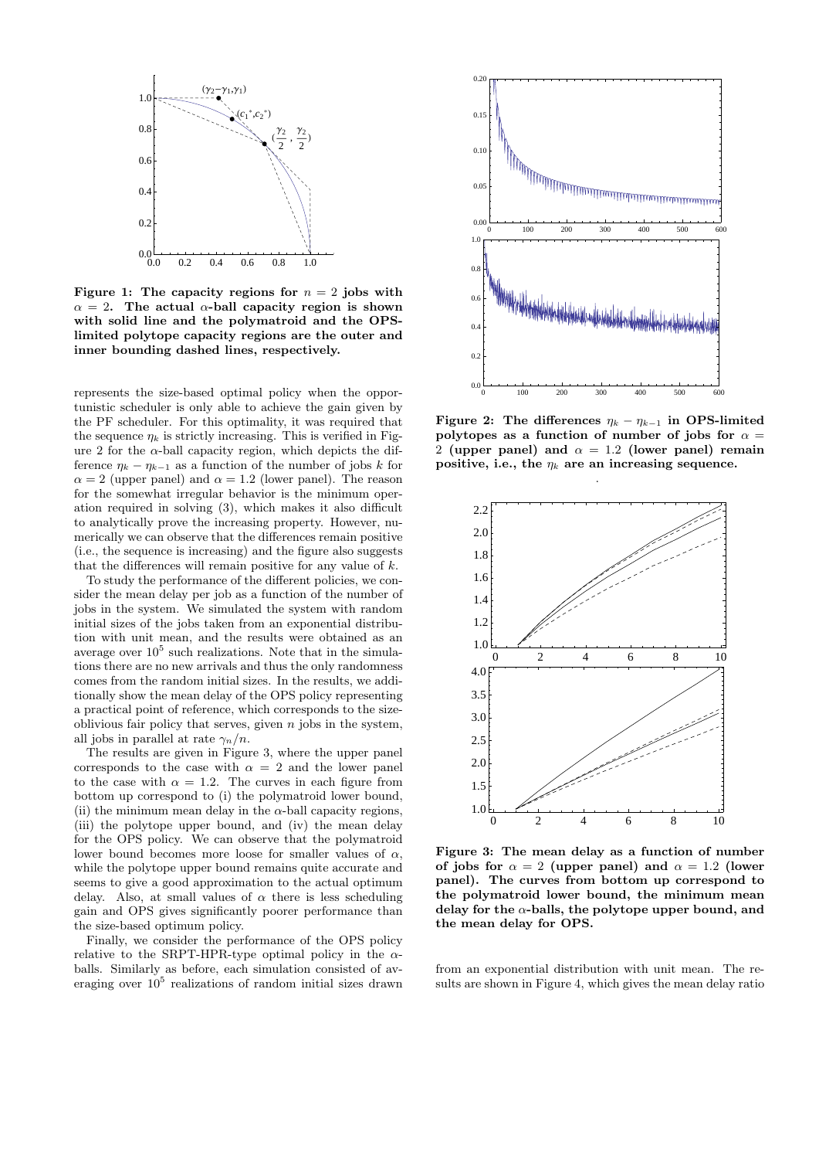

**Figure 1:** The capacity regions for  $n = 2$  jobs with *α* = 2**. The actual** *α***-ball capacity region is shown with solid line and the polymatroid and the OPSlimited polytope capacity regions are the outer and inner bounding dashed lines, respectively.**

represents the size-based optimal policy when the opportunistic scheduler is only able to achieve the gain given by the PF scheduler. For this optimality, it was required that the sequence  $\eta_k$  is strictly increasing. This is verified in Figure 2 for the  $\alpha$ -ball capacity region, which depicts the difference  $\eta_k - \eta_{k-1}$  as a function of the number of jobs *k* for  $\alpha = 2$  (upper panel) and  $\alpha = 1.2$  (lower panel). The reason for the somewhat irregular behavior is the minimum operation required in solving (3), which makes it also difficult to analytically prove the increasing property. However, numerically we can observe that the differences remain positive (i.e., the sequence is increasing) and the figure also suggests that the differences will remain positive for any value of *k*.

To study the performance of the different policies, we consider the mean delay per job as a function of the number of jobs in the system. We simulated the system with random initial sizes of the jobs taken from an exponential distribution with unit mean, and the results were obtained as an average over  $10^5$  such realizations. Note that in the simulations there are no new arrivals and thus the only randomness comes from the random initial sizes. In the results, we additionally show the mean delay of the OPS policy representing a practical point of reference, which corresponds to the sizeoblivious fair policy that serves, given *n* jobs in the system, all jobs in parallel at rate  $\gamma_n/n$ .

The results are given in Figure 3, where the upper panel corresponds to the case with  $\alpha = 2$  and the lower panel to the case with  $\alpha = 1.2$ . The curves in each figure from bottom up correspond to (i) the polymatroid lower bound, (ii) the minimum mean delay in the  $\alpha$ -ball capacity regions, (iii) the polytope upper bound, and (iv) the mean delay for the OPS policy. We can observe that the polymatroid lower bound becomes more loose for smaller values of *α*, while the polytope upper bound remains quite accurate and seems to give a good approximation to the actual optimum delay. Also, at small values of  $\alpha$  there is less scheduling gain and OPS gives significantly poorer performance than the size-based optimum policy.

Finally, we consider the performance of the OPS policy relative to the SRPT-HPR-type optimal policy in the *α*balls. Similarly as before, each simulation consisted of averaging over  $10^5$  realizations of random initial sizes drawn



**Figure 2:** The differences  $\eta_k - \eta_{k-1}$  in OPS-limited **polytopes as a function of number of jobs for**  $\alpha$  = 2 **(upper panel)** and  $\alpha = 1.2$  **(lower panel)** remain **positive, i.e., the**  $\eta_k$  are an increasing sequence.



**Figure 3: The mean delay as a function of number of** jobs for  $\alpha = 2$  (upper panel) and  $\alpha = 1.2$  (lower **panel). The curves from bottom up correspond to the polymatroid lower bound, the minimum mean delay for the** *α***-balls, the polytope upper bound, and the mean delay for OPS.**

from an exponential distribution with unit mean. The results are shown in Figure 4, which gives the mean delay ratio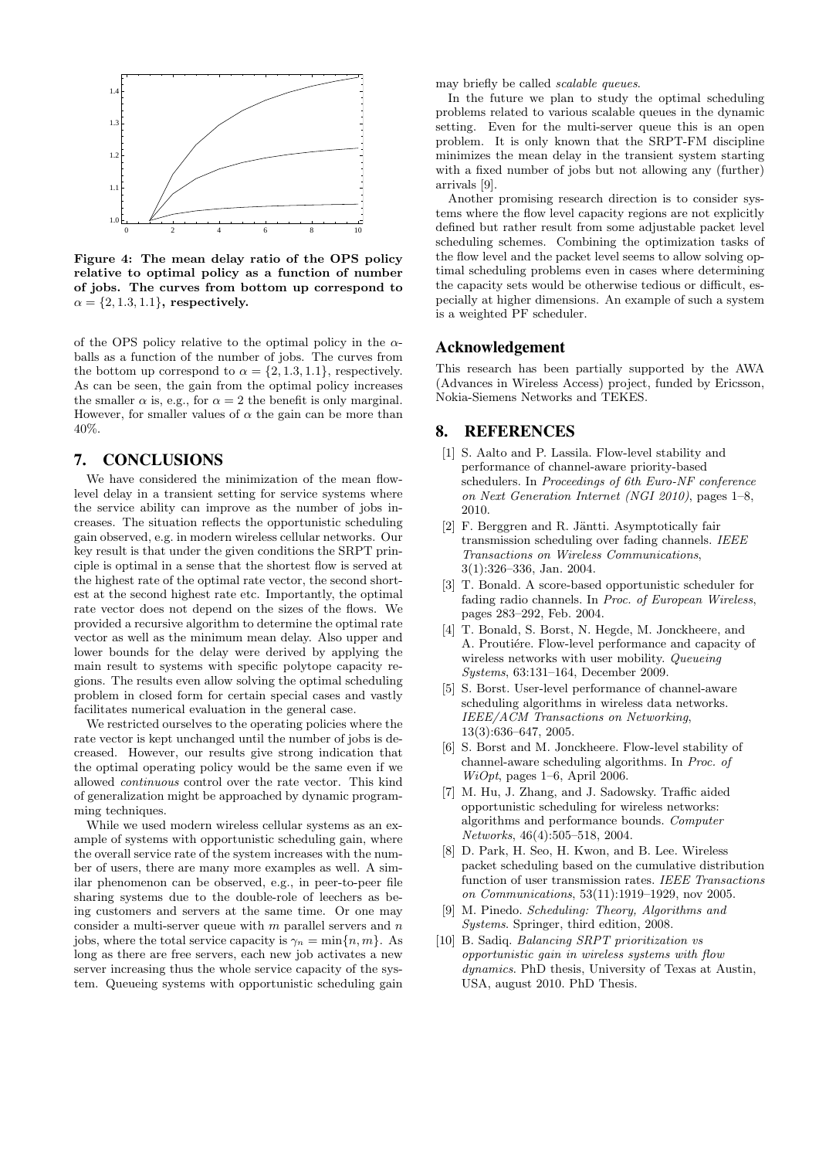

**Figure 4: The mean delay ratio of the OPS policy relative to optimal policy as a function of number of jobs. The curves from bottom up correspond to**  $\alpha = \{2, 1.3, 1.1\}$ , respectively.

of the OPS policy relative to the optimal policy in the *α*balls as a function of the number of jobs. The curves from the bottom up correspond to  $\alpha = \{2, 1.3, 1.1\}$ , respectively. As can be seen, the gain from the optimal policy increases the smaller  $\alpha$  is, e.g., for  $\alpha = 2$  the benefit is only marginal. However, for smaller values of  $\alpha$  the gain can be more than 40%.

# 7. CONCLUSIONS

We have considered the minimization of the mean flowlevel delay in a transient setting for service systems where the service ability can improve as the number of jobs increases. The situation reflects the opportunistic scheduling gain observed, e.g. in modern wireless cellular networks. Our key result is that under the given conditions the SRPT principle is optimal in a sense that the shortest flow is served at the highest rate of the optimal rate vector, the second shortest at the second highest rate etc. Importantly, the optimal rate vector does not depend on the sizes of the flows. We provided a recursive algorithm to determine the optimal rate vector as well as the minimum mean delay. Also upper and lower bounds for the delay were derived by applying the main result to systems with specific polytope capacity regions. The results even allow solving the optimal scheduling problem in closed form for certain special cases and vastly facilitates numerical evaluation in the general case.

We restricted ourselves to the operating policies where the rate vector is kept unchanged until the number of jobs is decreased. However, our results give strong indication that the optimal operating policy would be the same even if we allowed *continuous* control over the rate vector. This kind of generalization might be approached by dynamic programming techniques.

While we used modern wireless cellular systems as an example of systems with opportunistic scheduling gain, where the overall service rate of the system increases with the number of users, there are many more examples as well. A similar phenomenon can be observed, e.g., in peer-to-peer file sharing systems due to the double-role of leechers as being customers and servers at the same time. Or one may consider a multi-server queue with *m* parallel servers and *n* jobs, where the total service capacity is  $\gamma_n = \min\{n, m\}$ . As long as there are free servers, each new job activates a new server increasing thus the whole service capacity of the system. Queueing systems with opportunistic scheduling gain

may briefly be called *scalable queues*.

In the future we plan to study the optimal scheduling problems related to various scalable queues in the dynamic setting. Even for the multi-server queue this is an open problem. It is only known that the SRPT-FM discipline minimizes the mean delay in the transient system starting with a fixed number of jobs but not allowing any (further) arrivals [9].

Another promising research direction is to consider systems where the flow level capacity regions are not explicitly defined but rather result from some adjustable packet level scheduling schemes. Combining the optimization tasks of the flow level and the packet level seems to allow solving optimal scheduling problems even in cases where determining the capacity sets would be otherwise tedious or difficult, especially at higher dimensions. An example of such a system is a weighted PF scheduler.

### Acknowledgement

This research has been partially supported by the AWA (Advances in Wireless Access) project, funded by Ericsson, Nokia-Siemens Networks and TEKES.

#### 8. REFERENCES

- [1] S. Aalto and P. Lassila. Flow-level stability and performance of channel-aware priority-based schedulers. In *Proceedings of 6th Euro-NF conference on Next Generation Internet (NGI 2010)*, pages 1–8, 2010.
- $[2]$  F. Berggren and R. Jäntti. Asymptotically fair transmission scheduling over fading channels. *IEEE Transactions on Wireless Communications*, 3(1):326–336, Jan. 2004.
- [3] T. Bonald. A score-based opportunistic scheduler for fading radio channels. In *Proc. of European Wireless*, pages 283–292, Feb. 2004.
- [4] T. Bonald, S. Borst, N. Hegde, M. Jonckheere, and A. Proutiére. Flow-level performance and capacity of wireless networks with user mobility. *Queueing Systems*, 63:131–164, December 2009.
- [5] S. Borst. User-level performance of channel-aware scheduling algorithms in wireless data networks. *IEEE/ACM Transactions on Networking*, 13(3):636–647, 2005.
- [6] S. Borst and M. Jonckheere. Flow-level stability of channel-aware scheduling algorithms. In *Proc. of WiOpt*, pages 1–6, April 2006.
- [7] M. Hu, J. Zhang, and J. Sadowsky. Traffic aided opportunistic scheduling for wireless networks: algorithms and performance bounds. *Computer Networks*, 46(4):505–518, 2004.
- [8] D. Park, H. Seo, H. Kwon, and B. Lee. Wireless packet scheduling based on the cumulative distribution function of user transmission rates. *IEEE Transactions on Communications*, 53(11):1919–1929, nov 2005.
- [9] M. Pinedo. *Scheduling: Theory, Algorithms and Systems*. Springer, third edition, 2008.
- [10] B. Sadiq. *Balancing SRPT prioritization vs opportunistic gain in wireless systems with flow dynamics*. PhD thesis, University of Texas at Austin, USA, august 2010. PhD Thesis.